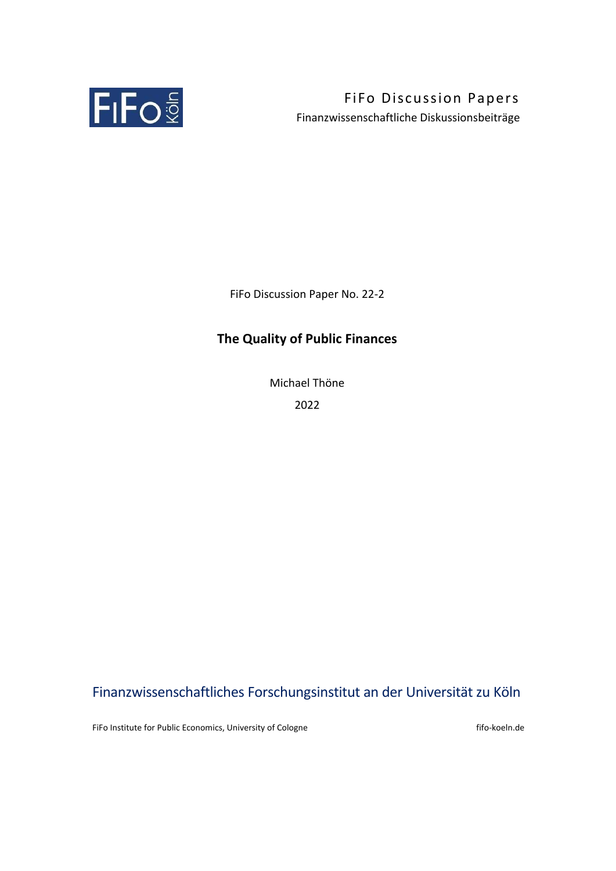

FiFo Discussion Papers Finanzwissenschaftliche Diskussionsbeiträge

FiFo Discussion Paper No. 22‐2

## **The Quality of Public Finances**

Michael Thöne 2022

# Finanzwissenschaftliches Forschungsinstitut an der Universität zu Köln

FiFo Institute for Public Economics, University of Cologne **fifo**-koeln.de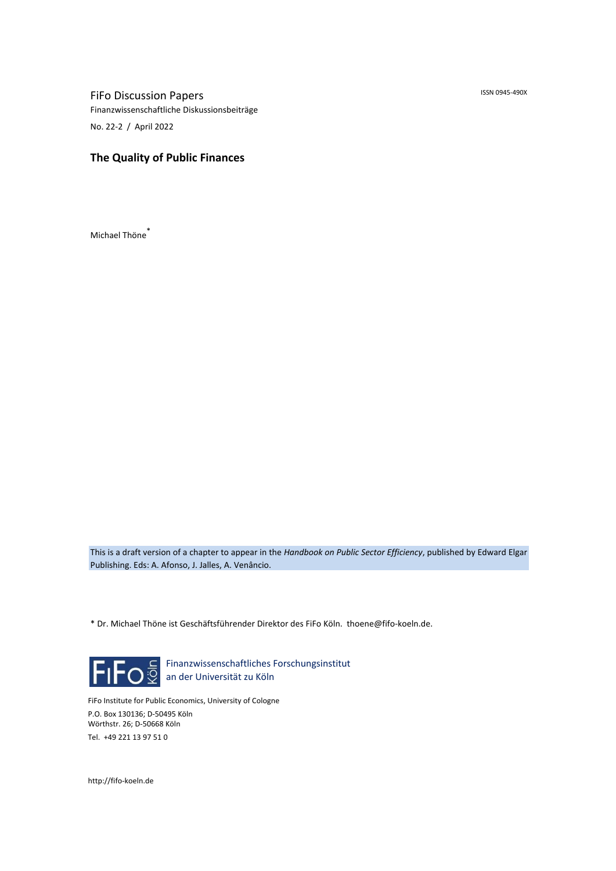ISSN 0945‐490X

FiFo Discussion Papers Finanzwissenschaftliche Diskussionsbeiträge No. 22‐2 / April 2022

## **The Quality of Public Finances**

Michael Thöne\*

This is a draft version of a chapter to appear in the *Handbook on Public Sector Efficiency*, published by Edward Elgar Publishing. Eds: A. Afonso, J. Jalles, A. Venâncio.

\* Dr. Michael Thöne ist Geschäftsführender Direktor des FiFo Köln. thoene@fifo‐koeln.de.



Finanzwissenschaftliches Forschungsinstitut an der Universität zu Köln

FiFo Institute for Public Economics, University of Cologne P.O. Box 130136; D‐50495 Köln Wörthstr. 26; D‐50668 Köln Tel. +49 221 13 97 51 0

http://fifo‐koeln.de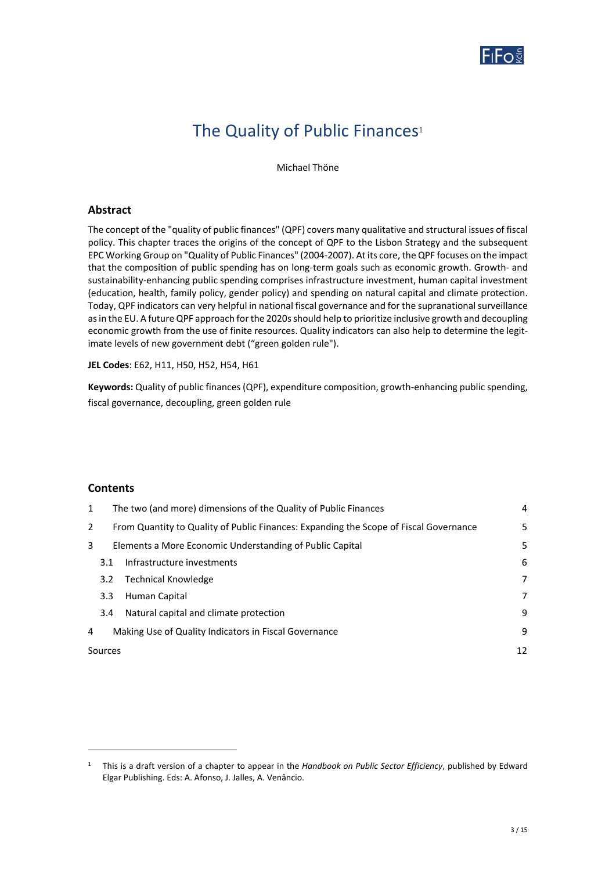

# The Quality of Public Finances<sup>1</sup>

Michael Thöne

### **Abstract**

The concept of the "quality of public finances" (QPF) covers many qualitative and structural issues of fiscal policy. This chapter traces the origins of the concept of QPF to the Lisbon Strategy and the subsequent EPC Working Group on "Quality of Public Finances" (2004‐2007). At its core, the QPF focuses on the impact that the composition of public spending has on long‐term goals such as economic growth. Growth‐ and sustainability‐enhancing public spending comprises infrastructure investment, human capital investment (education, health, family policy, gender policy) and spending on natural capital and climate protection. Today, QPF indicators can very helpful in national fiscal governance and for the supranational surveillance as in the EU. A future QPF approach for the 2020s should help to prioritize inclusive growth and decoupling economic growth from the use of finite resources. Quality indicators can also help to determine the legitimate levels of new government debt ("green golden rule").

**JEL Codes**: E62, H11, H50, H52, H54, H61

**Keywords:** Quality of public finances (QPF), expenditure composition, growth‐enhancing public spending, fiscal governance, decoupling, green golden rule

#### **Contents**

| The two (and more) dimensions of the Quality of Public Finances |                                        | 4                                                                                                                                                                                                          |
|-----------------------------------------------------------------|----------------------------------------|------------------------------------------------------------------------------------------------------------------------------------------------------------------------------------------------------------|
|                                                                 |                                        | 5                                                                                                                                                                                                          |
|                                                                 |                                        | 5                                                                                                                                                                                                          |
| 3.1                                                             | Infrastructure investments             | 6                                                                                                                                                                                                          |
| $3.2^{\circ}$                                                   | <b>Technical Knowledge</b>             | 7                                                                                                                                                                                                          |
| 3.3 <sub>2</sub>                                                | Human Capital                          | 7                                                                                                                                                                                                          |
| 3.4                                                             | Natural capital and climate protection | 9                                                                                                                                                                                                          |
|                                                                 |                                        | 9                                                                                                                                                                                                          |
| Sources                                                         |                                        | 12                                                                                                                                                                                                         |
|                                                                 |                                        | From Quantity to Quality of Public Finances: Expanding the Scope of Fiscal Governance<br>Elements a More Economic Understanding of Public Capital<br>Making Use of Quality Indicators in Fiscal Governance |

<sup>1</sup> This is a draft version of a chapter to appear in the *Handbook on Public Sector Efficiency*, published by Edward Elgar Publishing. Eds: A. Afonso, J. Jalles, A. Venâncio.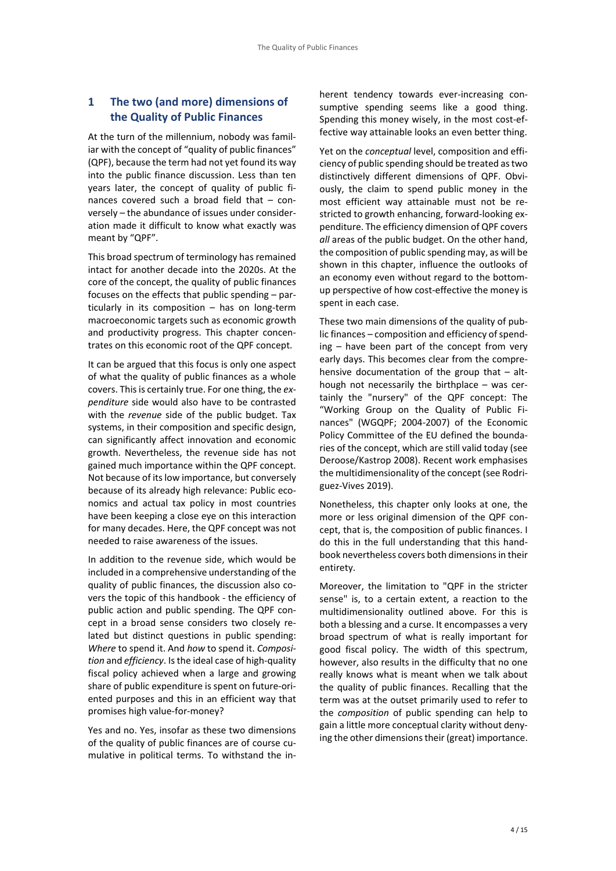## **1 The two (and more) dimensions of the Quality of Public Finances**

At the turn of the millennium, nobody was famil‐ iar with the concept of "quality of public finances" (QPF), because the term had not yet found its way into the public finance discussion. Less than ten years later, the concept of quality of public finances covered such a broad field that  $-$  conversely – the abundance of issues under consider‐ ation made it difficult to know what exactly was meant by "QPF".

This broad spectrum of terminology has remained intact for another decade into the 2020s. At the core of the concept, the quality of public finances focuses on the effects that public spending – par‐ ticularly in its composition  $-$  has on long-term macroeconomic targets such as economic growth and productivity progress. This chapter concen‐ trates on this economic root of the QPF concept.

It can be argued that this focus is only one aspect of what the quality of public finances as a whole covers. This is certainly true. For one thing, the *ex‐ penditure* side would also have to be contrasted with the *revenue* side of the public budget. Tax systems, in their composition and specific design, can significantly affect innovation and economic growth. Nevertheless, the revenue side has not gained much importance within the QPF concept. Not because of its low importance, but conversely because of its already high relevance: Public eco‐ nomics and actual tax policy in most countries have been keeping a close eye on this interaction for many decades. Here, the QPF concept was not needed to raise awareness of the issues.

In addition to the revenue side, which would be included in a comprehensive understanding of the quality of public finances, the discussion also co‐ vers the topic of this handbook ‐ the efficiency of public action and public spending. The QPF concept in a broad sense considers two closely related but distinct questions in public spending: *Where* to spend it. And *how* to spend it. *Composi‐ tion* and *efficiency*. Is the ideal case of high‐quality fiscal policy achieved when a large and growing share of public expenditure is spent on future‐ori‐ ented purposes and this in an efficient way that promises high value‐for‐money?

Yes and no. Yes, insofar as these two dimensions of the quality of public finances are of course cu‐ mulative in political terms. To withstand the in‐

herent tendency towards ever-increasing consumptive spending seems like a good thing. Spending this money wisely, in the most cost‐ef‐ fective way attainable looks an even better thing.

Yet on the *conceptual* level, composition and efficiency of public spending should be treated as two distinctively different dimensions of QPF. Obvi‐ ously, the claim to spend public money in the most efficient way attainable must not be re‐ stricted to growth enhancing, forward‐looking ex‐ penditure. The efficiency dimension of QPF covers *all* areas of the public budget. On the other hand, the composition of public spending may, as will be shown in this chapter, influence the outlooks of an economy even without regard to the bottom‐ up perspective of how cost‐effective the money is spent in each case.

These two main dimensions of the quality of pub‐ lic finances – composition and efficiency of spend‐  $ing - have been part of the concept from very$ early days. This becomes clear from the compre‐ hensive documentation of the group that  $-$  although not necessarily the birthplace - was certainly the "nursery" of the QPF concept: The "Working Group on the Quality of Public Fi‐ nances" (WGQPF; 2004‐2007) of the Economic Policy Committee of the EU defined the bounda‐ ries of the concept, which are still valid today (see Deroose/Kastrop 2008). Recent work emphasises the multidimensionality of the concept (see Rodri‐ guez‐Vives 2019).

Nonetheless, this chapter only looks at one, the more or less original dimension of the QPF concept, that is, the composition of public finances. I do this in the full understanding that this hand‐ book nevertheless covers both dimensions in their entirety.

Moreover, the limitation to "QPF in the stricter sense" is, to a certain extent, a reaction to the multidimensionality outlined above. For this is both a blessing and a curse. It encompasses a very broad spectrum of what is really important for good fiscal policy. The width of this spectrum, however, also results in the difficulty that no one really knows what is meant when we talk about the quality of public finances. Recalling that the term was at the outset primarily used to refer to the *composition* of public spending can help to gain a little more conceptual clarity without deny‐ ing the other dimensions their (great) importance.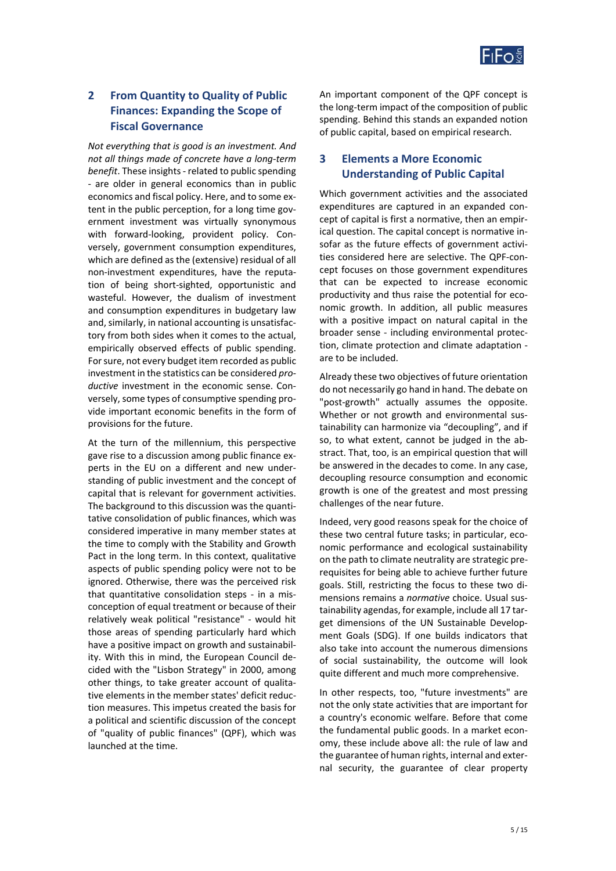

## **2 From Quantity to Quality of Public Finances: Expanding the Scope of Fiscal Governance**

*Not everything that is good is an investment. And not all things made of concrete have a long‐term benefit*. These insights ‐ related to public spending ‐ are older in general economics than in public economics and fiscal policy. Here, and to some ex‐ tent in the public perception, for a long time government investment was virtually synonymous with forward-looking, provident policy. Conversely, government consumption expenditures, which are defined as the (extensive) residual of all non‐investment expenditures, have the reputa‐ tion of being short‐sighted, opportunistic and wasteful. However, the dualism of investment and consumption expenditures in budgetary law and, similarly, in national accounting is unsatisfac‐ tory from both sides when it comes to the actual, empirically observed effects of public spending. For sure, not every budget item recorded as public investment in the statistics can be considered *pro‐* ductive investment in the economic sense. Conversely, some types of consumptive spending pro‐ vide important economic benefits in the form of provisions for the future.

At the turn of the millennium, this perspective gave rise to a discussion among public finance ex‐ perts in the EU on a different and new under‐ standing of public investment and the concept of capital that is relevant for government activities. The background to this discussion was the quanti‐ tative consolidation of public finances, which was considered imperative in many member states at the time to comply with the Stability and Growth Pact in the long term. In this context, qualitative aspects of public spending policy were not to be ignored. Otherwise, there was the perceived risk that quantitative consolidation steps ‐ in a mis‐ conception of equal treatment or because of their relatively weak political "resistance" ‐ would hit those areas of spending particularly hard which have a positive impact on growth and sustainabil‐ ity. With this in mind, the European Council de‐ cided with the "Lisbon Strategy" in 2000, among other things, to take greater account of qualitative elements in the member states' deficit reduc‐ tion measures. This impetus created the basis for a political and scientific discussion of the concept of "quality of public finances" (QPF), which was launched at the time.

An important component of the QPF concept is the long‐term impact of the composition of public spending. Behind this stands an expanded notion of public capital, based on empirical research.

## **3 Elements a More Economic Understanding of Public Capital**

Which government activities and the associated expenditures are captured in an expanded con‐ cept of capital is first a normative, then an empir‐ ical question. The capital concept is normative in‐ sofar as the future effects of government activi‐ ties considered here are selective. The QPF‐con‐ cept focuses on those government expenditures that can be expected to increase economic productivity and thus raise the potential for eco‐ nomic growth. In addition, all public measures with a positive impact on natural capital in the broader sense - including environmental protection, climate protection and climate adaptation ‐ are to be included.

Already these two objectives of future orientation do not necessarily go hand in hand. The debate on "post-growth" actually assumes the opposite. Whether or not growth and environmental sustainability can harmonize via "decoupling", and if so, to what extent, cannot be judged in the abstract. That, too, is an empirical question that will be answered in the decades to come. In any case, decoupling resource consumption and economic growth is one of the greatest and most pressing challenges of the near future.

Indeed, very good reasons speak for the choice of these two central future tasks; in particular, eco‐ nomic performance and ecological sustainability on the path to climate neutrality are strategic pre‐ requisites for being able to achieve further future goals. Still, restricting the focus to these two di‐ mensions remains a *normative* choice. Usual sus‐ tainability agendas, for example, include all 17 tar‐ get dimensions of the UN Sustainable Develop‐ ment Goals (SDG). If one builds indicators that also take into account the numerous dimensions of social sustainability, the outcome will look quite different and much more comprehensive.

In other respects, too, "future investments" are not the only state activities that are important for a country's economic welfare. Before that come the fundamental public goods. In a market econ‐ omy, these include above all: the rule of law and the guarantee of human rights, internal and exter‐ nal security, the guarantee of clear property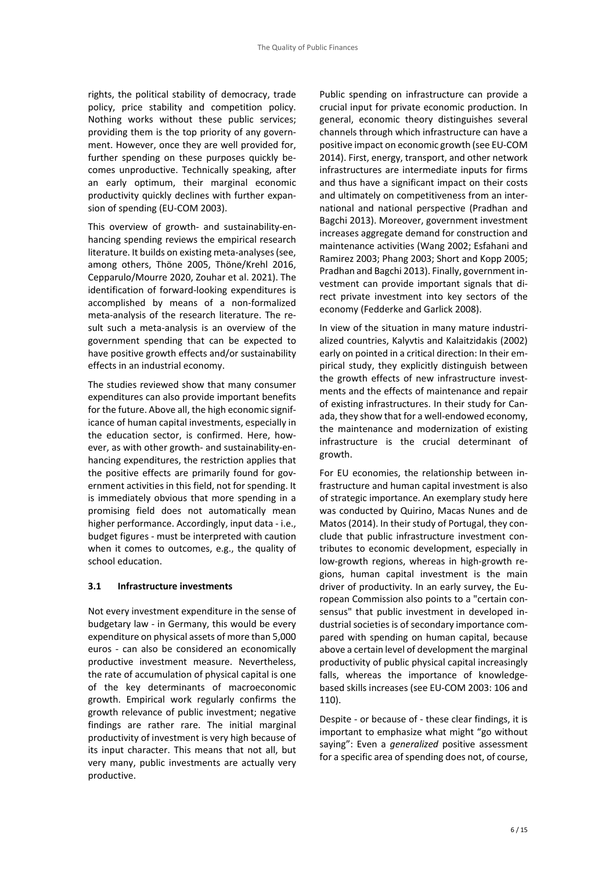rights, the political stability of democracy, trade policy, price stability and competition policy. Nothing works without these public services; providing them is the top priority of any govern‐ ment. However, once they are well provided for, further spending on these purposes quickly be‐ comes unproductive. Technically speaking, after an early optimum, their marginal economic productivity quickly declines with further expan‐ sion of spending (EU‐COM 2003).

This overview of growth‐ and sustainability‐en‐ hancing spending reviews the empirical research literature. It builds on existing meta‐analyses (see, among others, Thöne 2005, Thöne/Krehl 2016, Cepparulo/Mourre 2020, Zouhar et al. 2021). The identification of forward‐looking expenditures is accomplished by means of a non‐formalized meta-analysis of the research literature. The result such a meta-analysis is an overview of the government spending that can be expected to have positive growth effects and/or sustainability effects in an industrial economy.

The studies reviewed show that many consumer expenditures can also provide important benefits for the future. Above all, the high economic signif‐ icance of human capital investments, especially in the education sector, is confirmed. Here, however, as with other growth‐ and sustainability‐en‐ hancing expenditures, the restriction applies that the positive effects are primarily found for government activities in this field, not for spending. It is immediately obvious that more spending in a promising field does not automatically mean higher performance. Accordingly, input data ‐ i.e., budget figures ‐ must be interpreted with caution when it comes to outcomes, e.g., the quality of school education.

#### **3.1 Infrastructure investments**

Not every investment expenditure in the sense of budgetary law ‐ in Germany, this would be every expenditure on physical assets of more than 5,000 euros - can also be considered an economically productive investment measure. Nevertheless, the rate of accumulation of physical capital is one of the key determinants of macroeconomic growth. Empirical work regularly confirms the growth relevance of public investment; negative findings are rather rare. The initial marginal productivity of investment is very high because of its input character. This means that not all, but very many, public investments are actually very productive.

Public spending on infrastructure can provide a crucial input for private economic production. In general, economic theory distinguishes several channels through which infrastructure can have a positive impact on economic growth (see EU‐COM 2014). First, energy, transport, and other network infrastructures are intermediate inputs for firms and thus have a significant impact on their costs and ultimately on competitiveness from an inter‐ national and national perspective (Pradhan and Bagchi 2013). Moreover, government investment increases aggregate demand for construction and maintenance activities (Wang 2002; Esfahani and Ramirez 2003; Phang 2003; Short and Kopp 2005; Pradhan and Bagchi 2013). Finally, government in‐ vestment can provide important signals that di‐ rect private investment into key sectors of the economy (Fedderke and Garlick 2008).

In view of the situation in many mature industri‐ alized countries, Kalyvtis and Kalaitzidakis (2002) early on pointed in a critical direction: In their em‐ pirical study, they explicitly distinguish between the growth effects of new infrastructure investments and the effects of maintenance and repair of existing infrastructures. In their study for Can‐ ada, they show that for a well-endowed economy, the maintenance and modernization of existing infrastructure is the crucial determinant of growth.

For EU economies, the relationship between in‐ frastructure and human capital investment is also of strategic importance. An exemplary study here was conducted by Quirino, Macas Nunes and de Matos (2014). In their study of Portugal, they con‐ clude that public infrastructure investment con‐ tributes to economic development, especially in low‐growth regions, whereas in high‐growth re‐ gions, human capital investment is the main driver of productivity. In an early survey, the Eu‐ ropean Commission also points to a "certain con‐ sensus" that public investment in developed in‐ dustrial societies is of secondary importance com‐ pared with spending on human capital, because above a certain level of development the marginal productivity of public physical capital increasingly falls, whereas the importance of knowledge‐ based skills increases (see EU‐COM 2003: 106 and 110).

Despite ‐ or because of ‐ these clear findings, it is important to emphasize what might "go without saying": Even a *generalized* positive assessment for a specific area of spending does not, of course,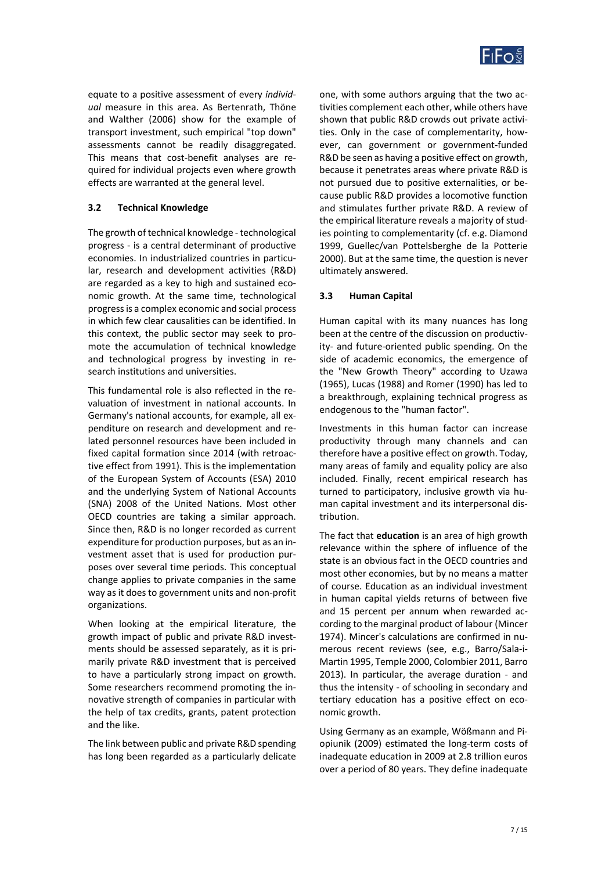

equate to a positive assessment of every *individ‐ ual* measure in this area. As Bertenrath, Thöne and Walther (2006) show for the example of transport investment, such empirical "top down" assessments cannot be readily disaggregated. This means that cost-benefit analyses are required for individual projects even where growth effects are warranted at the general level.

#### **3.2 Technical Knowledge**

The growth of technical knowledge ‐ technological progress ‐ is a central determinant of productive economies. In industrialized countries in particular, research and development activities (R&D) are regarded as a key to high and sustained eco‐ nomic growth. At the same time, technological progress is a complex economic and social process in which few clear causalities can be identified. In this context, the public sector may seek to promote the accumulation of technical knowledge and technological progress by investing in re‐ search institutions and universities.

This fundamental role is also reflected in the re‐ valuation of investment in national accounts. In Germany's national accounts, for example, all ex‐ penditure on research and development and re‐ lated personnel resources have been included in fixed capital formation since 2014 (with retroac‐ tive effect from 1991). This is the implementation of the European System of Accounts (ESA) 2010 and the underlying System of National Accounts (SNA) 2008 of the United Nations. Most other OECD countries are taking a similar approach. Since then, R&D is no longer recorded as current expenditure for production purposes, but as an in‐ vestment asset that is used for production pur‐ poses over several time periods. This conceptual change applies to private companies in the same way as it does to government units and non‐profit organizations.

When looking at the empirical literature, the growth impact of public and private R&D invest‐ ments should be assessed separately, as it is pri‐ marily private R&D investment that is perceived to have a particularly strong impact on growth. Some researchers recommend promoting the in‐ novative strength of companies in particular with the help of tax credits, grants, patent protection and the like.

The link between public and private R&D spending has long been regarded as a particularly delicate one, with some authors arguing that the two ac‐ tivities complement each other, while others have shown that public R&D crowds out private activi‐ ties. Only in the case of complementarity, how‐ ever, can government or government‐funded R&D be seen as having a positive effect on growth, because it penetrates areas where private R&D is not pursued due to positive externalities, or be‐ cause public R&D provides a locomotive function and stimulates further private R&D. A review of the empirical literature reveals a majority of stud‐ ies pointing to complementarity (cf. e.g. Diamond 1999, Guellec/van Pottelsberghe de la Potterie 2000). But at the same time, the question is never ultimately answered.

#### **3.3 Human Capital**

Human capital with its many nuances has long been at the centre of the discussion on productivity- and future-oriented public spending. On the side of academic economics, the emergence of the "New Growth Theory" according to Uzawa (1965), Lucas (1988) and Romer (1990) has led to a breakthrough, explaining technical progress as endogenous to the "human factor".

Investments in this human factor can increase productivity through many channels and can therefore have a positive effect on growth. Today, many areas of family and equality policy are also included. Finally, recent empirical research has turned to participatory, inclusive growth via hu‐ man capital investment and its interpersonal dis‐ tribution.

The fact that **education** is an area of high growth relevance within the sphere of influence of the state is an obvious fact in the OECD countries and most other economies, but by no means a matter of course. Education as an individual investment in human capital yields returns of between five and 15 percent per annum when rewarded according to the marginal product of labour (Mincer 1974). Mincer's calculations are confirmed in nu‐ merous recent reviews (see, e.g., Barro/Sala‐i‐ Martin 1995, Temple 2000, Colombier 2011, Barro 2013). In particular, the average duration ‐ and thus the intensity ‐ of schooling in secondary and tertiary education has a positive effect on eco‐ nomic growth.

Using Germany as an example, Wößmann and Pi‐ opiunik (2009) estimated the long‐term costs of inadequate education in 2009 at 2.8 trillion euros over a period of 80 years. They define inadequate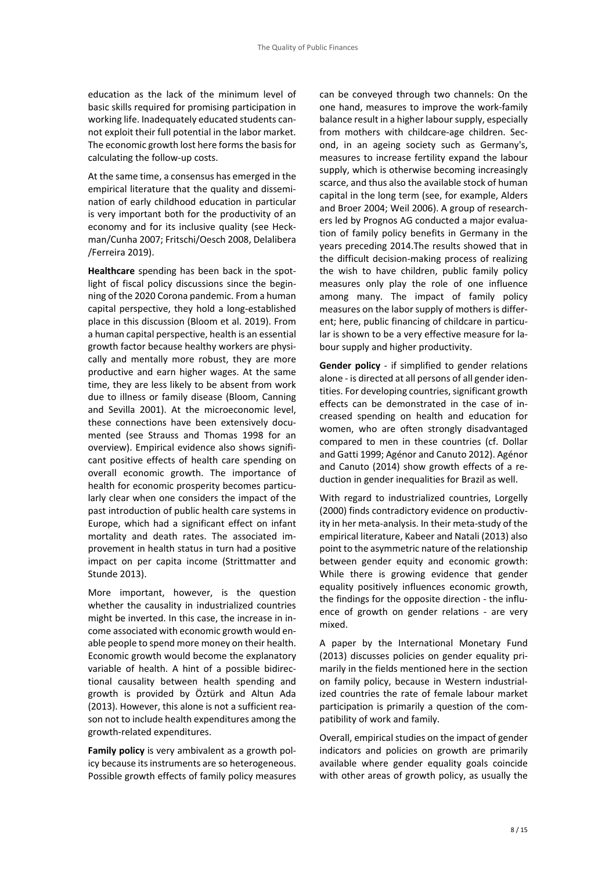education as the lack of the minimum level of basic skills required for promising participation in working life. Inadequately educated students cannot exploit their full potential in the labor market. The economic growth lost here forms the basis for calculating the follow‐up costs.

At the same time, a consensus has emerged in the empirical literature that the quality and dissemi‐ nation of early childhood education in particular is very important both for the productivity of an economy and for its inclusive quality (see Heck‐ man/Cunha 2007; Fritschi/Oesch 2008, Delalibera /Ferreira 2019).

Healthcare spending has been back in the spotlight of fiscal policy discussions since the begin‐ ning of the 2020 Corona pandemic. From a human capital perspective, they hold a long‐established place in this discussion (Bloom et al. 2019). From a human capital perspective, health is an essential growth factor because healthy workers are physi‐ cally and mentally more robust, they are more productive and earn higher wages. At the same time, they are less likely to be absent from work due to illness or family disease (Bloom, Canning and Sevilla 2001). At the microeconomic level, these connections have been extensively docu‐ mented (see Strauss and Thomas 1998 for an overview). Empirical evidence also shows signifi‐ cant positive effects of health care spending on overall economic growth. The importance of health for economic prosperity becomes particularly clear when one considers the impact of the past introduction of public health care systems in Europe, which had a significant effect on infant mortality and death rates. The associated im‐ provement in health status in turn had a positive impact on per capita income (Strittmatter and Stunde 2013).

More important, however, is the question whether the causality in industrialized countries might be inverted. In this case, the increase in in‐ come associated with economic growth would en‐ able people to spend more money on their health. Economic growth would become the explanatory variable of health. A hint of a possible bidirec‐ tional causality between health spending and growth is provided by Öztürk and Altun Ada (2013). However, this alone is not a sufficient reason not to include health expenditures among the growth‐related expenditures.

**Family policy** is very ambivalent as a growth pol‐ icy because its instruments are so heterogeneous. Possible growth effects of family policy measures can be conveyed through two channels: On the one hand, measures to improve the work‐family balance result in a higher labour supply, especially from mothers with childcare-age children. Second, in an ageing society such as Germany's, measures to increase fertility expand the labour supply, which is otherwise becoming increasingly scarce, and thus also the available stock of human capital in the long term (see, for example, Alders and Broer 2004; Weil 2006). A group of research‐ ers led by Prognos AG conducted a major evalua‐ tion of family policy benefits in Germany in the years preceding 2014.The results showed that in the difficult decision‐making process of realizing the wish to have children, public family policy measures only play the role of one influence among many. The impact of family policy measures on the labor supply of mothers is differ‐ ent; here, public financing of childcare in particular is shown to be a very effective measure for la‐ bour supply and higher productivity.

**Gender policy** - if simplified to gender relations alone ‐ is directed at all persons of all gender iden‐ tities. For developing countries, significant growth effects can be demonstrated in the case of in‐ creased spending on health and education for women, who are often strongly disadvantaged compared to men in these countries (cf. Dollar and Gatti 1999; Agénor and Canuto 2012). Agénor and Canuto (2014) show growth effects of a re‐ duction in gender inequalities for Brazil as well.

With regard to industrialized countries, Lorgelly (2000) finds contradictory evidence on productiv‐ ity in her meta‐analysis. In their meta‐study of the empirical literature, Kabeer and Natali (2013) also point to the asymmetric nature of the relationship between gender equity and economic growth: While there is growing evidence that gender equality positively influences economic growth, the findings for the opposite direction ‐ the influ‐ ence of growth on gender relations - are very mixed.

A paper by the International Monetary Fund (2013) discusses policies on gender equality pri‐ marily in the fields mentioned here in the section on family policy, because in Western industrial‐ ized countries the rate of female labour market participation is primarily a question of the compatibility of work and family.

Overall, empirical studies on the impact of gender indicators and policies on growth are primarily available where gender equality goals coincide with other areas of growth policy, as usually the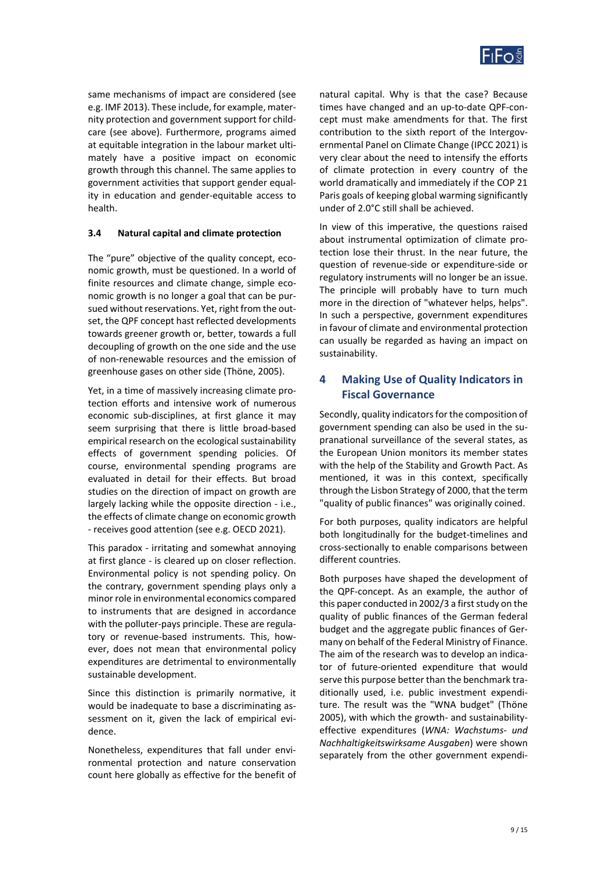

same mechanisms of impact are considered (see e.g. IMF 2013). These include, for example, mater‐ nity protection and government support for child‐ care (see above). Furthermore, programs aimed at equitable integration in the labour market ulti‐ mately have a positive impact on economic growth through this channel. The same applies to government activities that support gender equal‐ ity in education and gender‐equitable access to health.

#### **3.4 Natural capital and climate protection**

The "pure" objective of the quality concept, eco‐ nomic growth, must be questioned. In a world of finite resources and climate change, simple economic growth is no longer a goal that can be pur‐ sued without reservations. Yet, right from the out‐ set, the QPF concept hast reflected developments towards greener growth or, better, towards a full decoupling of growth on the one side and the use of non‐renewable resources and the emission of greenhouse gases on other side (Thöne, 2005).

Yet, in a time of massively increasing climate protection efforts and intensive work of numerous economic sub‐disciplines, at first glance it may seem surprising that there is little broad‐based empirical research on the ecological sustainability effects of government spending policies. Of course, environmental spending programs are evaluated in detail for their effects. But broad studies on the direction of impact on growth are largely lacking while the opposite direction ‐ i.e., the effects of climate change on economic growth ‐ receives good attention (see e.g. OECD 2021).

This paradox ‐ irritating and somewhat annoying at first glance ‐ is cleared up on closer reflection. Environmental policy is not spending policy. On the contrary, government spending plays only a minor role in environmental economics compared to instruments that are designed in accordance with the polluter-pays principle. These are regulatory or revenue‐based instruments. This, how‐ ever, does not mean that environmental policy expenditures are detrimental to environmentally sustainable development.

Since this distinction is primarily normative, it would be inadequate to base a discriminating assessment on it, given the lack of empirical evidence.

Nonetheless, expenditures that fall under envi‐ ronmental protection and nature conservation count here globally as effective for the benefit of

natural capital. Why is that the case? Because times have changed and an up‐to‐date QPF‐con‐ cept must make amendments for that. The first contribution to the sixth report of the Intergovernmental Panel on Climate Change (IPCC 2021) is very clear about the need to intensify the efforts of climate protection in every country of the world dramatically and immediately if the COP 21 Paris goals of keeping global warming significantly under of 2.0°C still shall be achieved.

In view of this imperative, the questions raised about instrumental optimization of climate pro‐ tection lose their thrust. In the near future, the question of revenue‐side or expenditure‐side or regulatory instruments will no longer be an issue. The principle will probably have to turn much more in the direction of "whatever helps, helps". In such a perspective, government expenditures in favour of climate and environmental protection can usually be regarded as having an impact on sustainability.

## **4 Making Use of Quality Indicators in Fiscal Governance**

Secondly, quality indicators for the composition of government spending can also be used in the su‐ pranational surveillance of the several states, as the European Union monitors its member states with the help of the Stability and Growth Pact. As mentioned, it was in this context, specifically through the Lisbon Strategy of 2000, that the term "quality of public finances" was originally coined.

For both purposes, quality indicators are helpful both longitudinally for the budget‐timelines and cross‐sectionally to enable comparisons between different countries.

Both purposes have shaped the development of the QPF‐concept. As an example, the author of this paper conducted in 2002/3 a first study on the quality of public finances of the German federal budget and the aggregate public finances of Ger‐ many on behalf of the Federal Ministry of Finance. The aim of the research was to develop an indicator of future‐oriented expenditure that would serve this purpose better than the benchmark traditionally used, i.e. public investment expendi‐ ture. The result was the "WNA budget" (Thöne 2005), with which the growth‐ and sustainability‐ effective expenditures (*WNA: Wachstums‐ und Nachhaltigkeitswirksame Ausgaben*) were shown separately from the other government expendi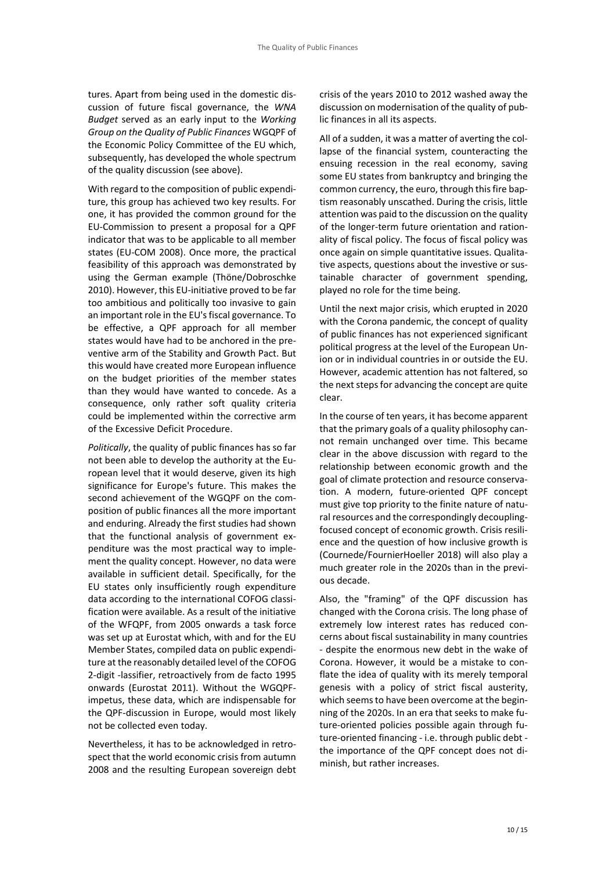tures. Apart from being used in the domestic dis‐ cussion of future fiscal governance, the *WNA Budget* served as an early input to the *Working Group on the Quality of Public Finances* WGQPF of the Economic Policy Committee of the EU which, subsequently, has developed the whole spectrum of the quality discussion (see above).

With regard to the composition of public expendi‐ ture, this group has achieved two key results. For one, it has provided the common ground for the EU‐Commission to present a proposal for a QPF indicator that was to be applicable to all member states (EU‐COM 2008). Once more, the practical feasibility of this approach was demonstrated by using the German example (Thöne/Dobroschke 2010). However, this EU‐initiative proved to be far too ambitious and politically too invasive to gain an important role in the EU's fiscal governance. To be effective, a QPF approach for all member states would have had to be anchored in the pre‐ ventive arm of the Stability and Growth Pact. But this would have created more European influence on the budget priorities of the member states than they would have wanted to concede. As a consequence, only rather soft quality criteria could be implemented within the corrective arm of the Excessive Deficit Procedure.

*Politically*, the quality of public finances has so far not been able to develop the authority at the Eu‐ ropean level that it would deserve, given its high significance for Europe's future. This makes the second achievement of the WGQPF on the com‐ position of public finances all the more important and enduring. Already the first studies had shown that the functional analysis of government ex‐ penditure was the most practical way to imple‐ ment the quality concept. However, no data were available in sufficient detail. Specifically, for the EU states only insufficiently rough expenditure data according to the international COFOG classi‐ fication were available. As a result of the initiative of the WFQPF, from 2005 onwards a task force was set up at Eurostat which, with and for the EU Member States, compiled data on public expendi‐ ture at the reasonably detailed level of the COFOG 2‐digit ‐lassifier, retroactively from de facto 1995 onwards (Eurostat 2011). Without the WGQPF‐ impetus, these data, which are indispensable for the QPF‐discussion in Europe, would most likely not be collected even today.

Nevertheless, it has to be acknowledged in retro‐ spect that the world economic crisis from autumn 2008 and the resulting European sovereign debt crisis of the years 2010 to 2012 washed away the discussion on modernisation of the quality of pub‐ lic finances in all its aspects.

All of a sudden, it was a matter of averting the col‐ lapse of the financial system, counteracting the ensuing recession in the real economy, saving some EU states from bankruptcy and bringing the common currency, the euro, through this fire bap‐ tism reasonably unscathed. During the crisis, little attention was paid to the discussion on the quality of the longer‐term future orientation and ration‐ ality of fiscal policy. The focus of fiscal policy was once again on simple quantitative issues. Qualita‐ tive aspects, questions about the investive or sus‐ tainable character of government spending, played no role for the time being.

Until the next major crisis, which erupted in 2020 with the Corona pandemic, the concept of quality of public finances has not experienced significant political progress at the level of the European Un‐ ion or in individual countries in or outside the EU. However, academic attention has not faltered, so the next steps for advancing the concept are quite clear.

In the course of ten years, it has become apparent that the primary goals of a quality philosophy can‐ not remain unchanged over time. This became clear in the above discussion with regard to the relationship between economic growth and the goal of climate protection and resource conserva‐ tion. A modern, future‐oriented QPF concept must give top priority to the finite nature of natu‐ ral resources and the correspondingly decoupling‐ focused concept of economic growth. Crisis resili‐ ence and the question of how inclusive growth is (Cournede/FournierHoeller 2018) will also play a much greater role in the 2020s than in the previ‐ ous decade.

Also, the "framing" of the QPF discussion has changed with the Corona crisis. The long phase of extremely low interest rates has reduced concerns about fiscal sustainability in many countries ‐ despite the enormous new debt in the wake of Corona. However, it would be a mistake to con‐ flate the idea of quality with its merely temporal genesis with a policy of strict fiscal austerity, which seems to have been overcome at the beginning of the 2020s. In an era that seeks to make fu‐ ture‐oriented policies possible again through fu‐ ture‐oriented financing ‐ i.e. through public debt ‐ the importance of the QPF concept does not di‐ minish, but rather increases.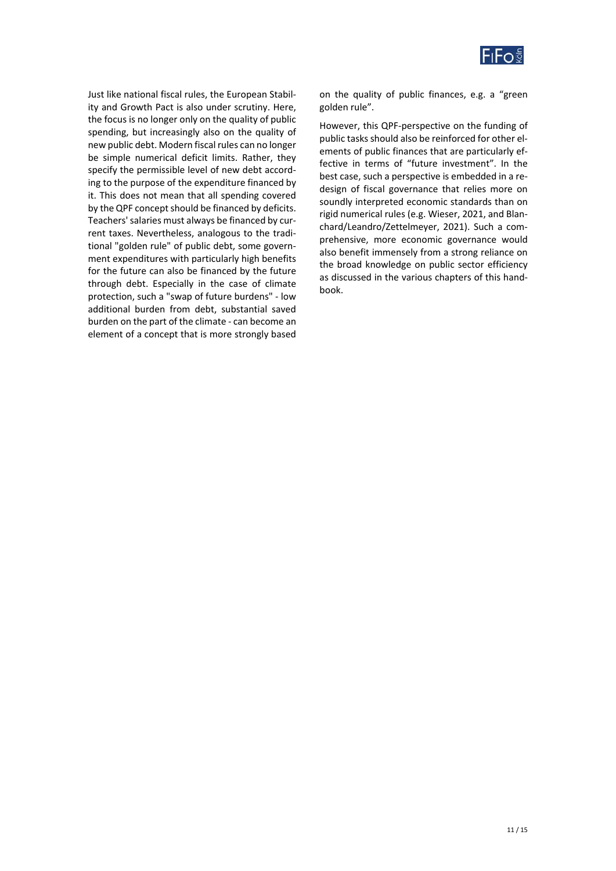

Just like national fiscal rules, the European Stabil‐ ity and Growth Pact is also under scrutiny. Here, the focus is no longer only on the quality of public spending, but increasingly also on the quality of new public debt. Modern fiscal rules can no longer be simple numerical deficit limits. Rather, they specify the permissible level of new debt accord‐ ing to the purpose of the expenditure financed by it. This does not mean that all spending covered by the QPF concept should be financed by deficits. Teachers' salaries must always be financed by cur‐ rent taxes. Nevertheless, analogous to the tradi‐ tional "golden rule" of public debt, some govern‐ ment expenditures with particularly high benefits for the future can also be financed by the future through debt. Especially in the case of climate protection, such a "swap of future burdens" ‐ low additional burden from debt, substantial saved burden on the part of the climate ‐ can become an element of a concept that is more strongly based on the quality of public finances, e.g. a "green golden rule".

However, this QPF‐perspective on the funding of public tasks should also be reinforced for other el‐ ements of public finances that are particularly ef‐ fective in terms of "future investment". In the best case, such a perspective is embedded in a re‐ design of fiscal governance that relies more on soundly interpreted economic standards than on rigid numerical rules (e.g. Wieser, 2021, and Blan‐ chard/Leandro/Zettelmeyer, 2021). Such a com‐ prehensive, more economic governance would also benefit immensely from a strong reliance on the broad knowledge on public sector efficiency as discussed in the various chapters of this hand‐ book.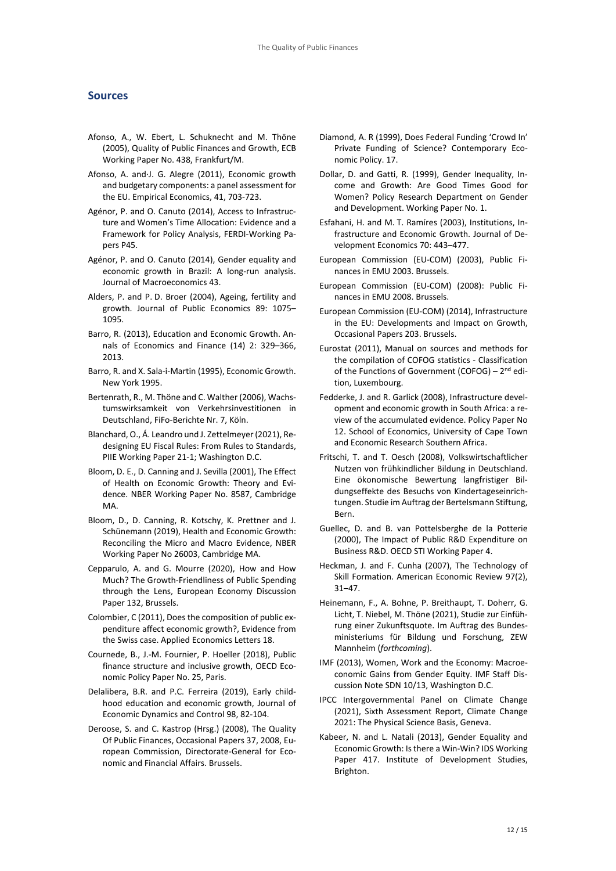#### **Sources**

- Afonso, A., W. Ebert, L. Schuknecht and M. Thöne (2005), Quality of Public Finances and Growth, ECB Working Paper No. 438, Frankfurt/M.
- Afonso, A. and∙J. G. Alegre (2011), Economic growth and budgetary components: a panel assessment for the EU. Empirical Economics, 41, 703‐723.
- Agénor, P. and O. Canuto (2014), Access to Infrastruc‐ ture and Women's Time Allocation: Evidence and a Framework for Policy Analysis, FERDI‐Working Pa‐ pers P45.
- Agénor, P. and O. Canuto (2014), Gender equality and economic growth in Brazil: A long-run analysis. Journal of Macroeconomics 43.
- Alders, P. and P. D. Broer (2004), Ageing, fertility and growth. Journal of Public Economics 89: 1075– 1095.
- Barro, R. (2013), Education and Economic Growth. An‐ nals of Economics and Finance (14) 2: 329–366, 2013.
- Barro, R. and X. Sala‐i‐Martin (1995), Economic Growth. New York 1995.
- Bertenrath, R., M. Thöne and C. Walther (2006), Wachs‐ tumswirksamkeit von Verkehrsinvestitionen in Deutschland, FiFo‐Berichte Nr. 7, Köln.
- Blanchard, O., Á. Leandro und J. Zettelmeyer (2021), Re‐ designing EU Fiscal Rules: From Rules to Standards, PIIE Working Paper 21‐1; Washington D.C.
- Bloom, D. E., D. Canning and J. Sevilla (2001), The Effect of Health on Economic Growth: Theory and Evi‐ dence. NBER Working Paper No. 8587, Cambridge MA.
- Bloom, D., D. Canning, R. Kotschy, K. Prettner and J. Schünemann (2019), Health and Economic Growth: Reconciling the Micro and Macro Evidence, NBER Working Paper No 26003, Cambridge MA.
- Cepparulo, A. and G. Mourre (2020), How and How Much? The Growth‐Friendliness of Public Spending through the Lens, European Economy Discussion Paper 132, Brussels.
- Colombier, C (2011), Does the composition of public ex‐ penditure affect economic growth?, Evidence from the Swiss case. Applied Economics Letters 18.
- Cournede, B., J.‐M. Fournier, P. Hoeller (2018), Public finance structure and inclusive growth, OECD Eco‐ nomic Policy Paper No. 25, Paris.
- Delalibera, B.R. and P.C. Ferreira (2019), Early child‐ hood education and economic growth, Journal of Economic Dynamics and Control 98, 82‐104.
- Deroose, S. and C. Kastrop (Hrsg.) (2008), The Quality Of Public Finances, Occasional Papers 37, 2008, Eu‐ ropean Commission, Directorate‐General for Eco‐ nomic and Financial Affairs. Brussels.
- Diamond, A. R (1999), Does Federal Funding 'Crowd In' Private Funding of Science? Contemporary Eco‐ nomic Policy. 17.
- Dollar, D. and Gatti, R. (1999), Gender Inequality, In‐ come and Growth: Are Good Times Good for Women? Policy Research Department on Gender and Development. Working Paper No. 1.
- Esfahani, H. and M. T. Ramíres (2003), Institutions, In‐ frastructure and Economic Growth. Journal of De‐ velopment Economics 70: 443–477.
- European Commission (EU‐COM) (2003), Public Fi‐ nances in EMU 2003. Brussels.
- European Commission (EU‐COM) (2008): Public Fi‐ nances in EMU 2008. Brussels.
- European Commission (EU‐COM) (2014), Infrastructure in the EU: Developments and Impact on Growth, Occasional Papers 203. Brussels.
- Eurostat (2011), Manual on sources and methods for the compilation of COFOG statistics ‐ Classification of the Functions of Government (COFOG) – 2<sup>nd</sup> edition, Luxembourg.
- Fedderke, J. and R. Garlick (2008), Infrastructure devel‐ opment and economic growth in South Africa: a re‐ view of the accumulated evidence. Policy Paper No 12. School of Economics, University of Cape Town and Economic Research Southern Africa.
- Fritschi, T. and T. Oesch (2008), Volkswirtschaftlicher Nutzen von frühkindlicher Bildung in Deutschland. Eine ökonomische Bewertung langfristiger Bil‐ dungseffekte des Besuchs von Kindertageseinrich‐ tungen. Studie im Auftrag der Bertelsmann Stiftung, Bern.
- Guellec, D. and B. van Pottelsberghe de la Potterie (2000), The Impact of Public R&D Expenditure on Business R&D. OECD STI Working Paper 4.
- Heckman, J. and F. Cunha (2007), The Technology of Skill Formation. American Economic Review 97(2), 31–47.
- Heinemann, F., A. Bohne, P. Breithaupt, T. Doherr, G. Licht, T. Niebel, M. Thöne (2021), Studie zur Einfüh‐ rung einer Zukunftsquote. Im Auftrag des Bundes‐ ministeriums für Bildung und Forschung, ZEW Mannheim (*forthcoming*).
- IMF (2013), Women, Work and the Economy: Macroe‐ conomic Gains from Gender Equity. IMF Staff Dis‐ cussion Note SDN 10/13, Washington D.C.
- IPCC Intergovernmental Panel on Climate Change (2021), Sixth Assessment Report, Climate Change 2021: The Physical Science Basis, Geneva.
- Kabeer, N. and L. Natali (2013), Gender Equality and Economic Growth: Is there a Win‐Win? IDS Working Paper 417. Institute of Development Studies, Brighton.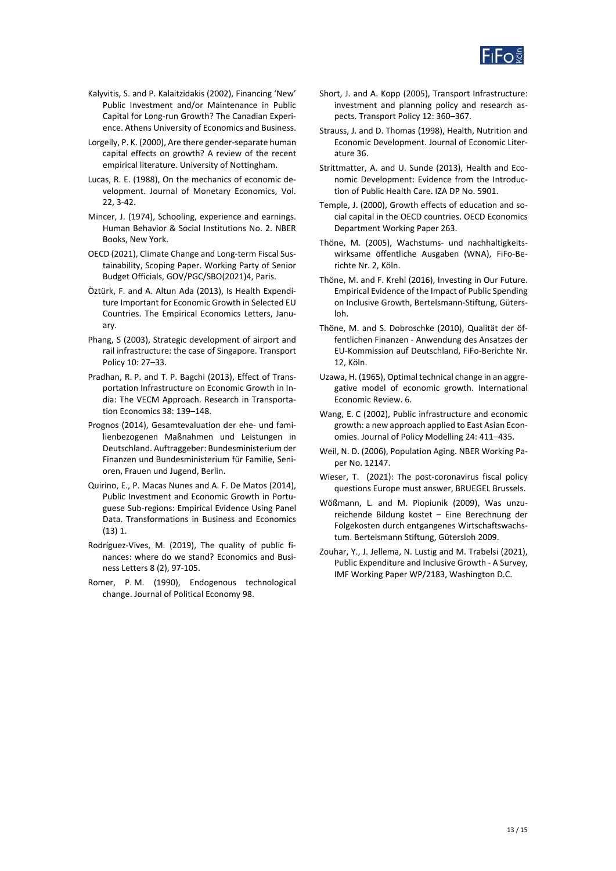

- Kalyvitis, S. and P. Kalaitzidakis (2002), Financing 'New' Public Investment and/or Maintenance in Public Capital for Long‐run Growth? The Canadian Experi‐ ence. Athens University of Economics and Business.
- Lorgelly, P. K. (2000), Are there gender‐separate human capital effects on growth? A review of the recent empirical literature. University of Nottingham.
- Lucas, R. E. (1988), On the mechanics of economic de‐ velopment. Journal of Monetary Economics, Vol. 22, 3‐42.
- Mincer, J. (1974), Schooling, experience and earnings. Human Behavior & Social Institutions No. 2. NBER Books, New York.
- OECD (2021), Climate Change and Long‐term Fiscal Sus‐ tainability, Scoping Paper. Working Party of Senior Budget Officials, GOV/PGC/SBO(2021)4, Paris.
- Öztürk, F. and A. Altun Ada (2013), Is Health Expendi‐ ture Important for Economic Growth in Selected EU Countries. The Empirical Economics Letters, Janu‐ ary.
- Phang, S (2003), Strategic development of airport and rail infrastructure: the case of Singapore. Transport Policy 10: 27–33.
- Pradhan, R. P. and T. P. Bagchi (2013), Effect of Trans‐ portation Infrastructure on Economic Growth in In‐ dia: The VECM Approach. Research in Transporta‐ tion Economics 38: 139–148.
- Prognos (2014), Gesamtevaluation der ehe‐ und fami‐ lienbezogenen Maßnahmen und Leistungen in Deutschland. Auftraggeber: Bundesministerium der Finanzen und Bundesministerium für Familie, Seni‐ oren, Frauen und Jugend, Berlin.
- Quirino, E., P. Macas Nunes and A. F. De Matos (2014), Public Investment and Economic Growth in Portu‐ guese Sub‐regions: Empirical Evidence Using Panel Data. Transformations in Business and Economics (13) 1.
- Rodríguez‐Vives, M. (2019), The quality of public fi‐ nances: where do we stand? Economics and Busi‐ ness Letters 8 (2), 97‐105.
- Romer, P. M. (1990), Endogenous technological change. Journal of Political Economy 98.
- Short, J. and A. Kopp (2005), Transport Infrastructure: investment and planning policy and research as‐ pects. Transport Policy 12: 360–367.
- Strauss, J. and D. Thomas (1998), Health, Nutrition and Economic Development. Journal of Economic Liter‐ ature 36.
- Strittmatter, A. and U. Sunde (2013), Health and Economic Development: Evidence from the Introduc‐ tion of Public Health Care. IZA DP No. 5901.
- Temple, J. (2000), Growth effects of education and so‐ cial capital in the OECD countries. OECD Economics Department Working Paper 263.
- Thöne, M. (2005), Wachstums- und nachhaltigkeitswirksame öffentliche Ausgaben (WNA), FiFo‐Be‐ richte Nr. 2, Köln.
- Thöne, M. and F. Krehl (2016), Investing in Our Future. Empirical Evidence of the Impact of Public Spending on Inclusive Growth, Bertelsmann‐Stiftung, Güters‐ loh.
- Thöne, M. and S. Dobroschke (2010), Qualität der öf‐ fentlichen Finanzen ‐ Anwendung des Ansatzes der EU‐Kommission auf Deutschland, FiFo‐Berichte Nr. 12, Köln.
- Uzawa, H. (1965), Optimal technical change in an aggre‐ gative model of economic growth. International Economic Review. 6.
- Wang, E. C (2002), Public infrastructure and economic growth: a new approach applied to East Asian Econ‐ omies. Journal of Policy Modelling 24: 411–435.
- Weil, N. D. (2006), Population Aging. NBER Working Paper No. 12147.
- Wieser, T. (2021): The post-coronavirus fiscal policy questions Europe must answer, BRUEGEL Brussels.
- Wößmann, L. and M. Piopiunik (2009), Was unzu‐ reichende Bildung kostet – Eine Berechnung der Folgekosten durch entgangenes Wirtschaftswachs‐ tum. Bertelsmann Stiftung, Gütersloh 2009.
- Zouhar, Y., J. Jellema, N. Lustig and M. Trabelsi (2021), Public Expenditure and Inclusive Growth ‐ A Survey, IMF Working Paper WP/2183, Washington D.C.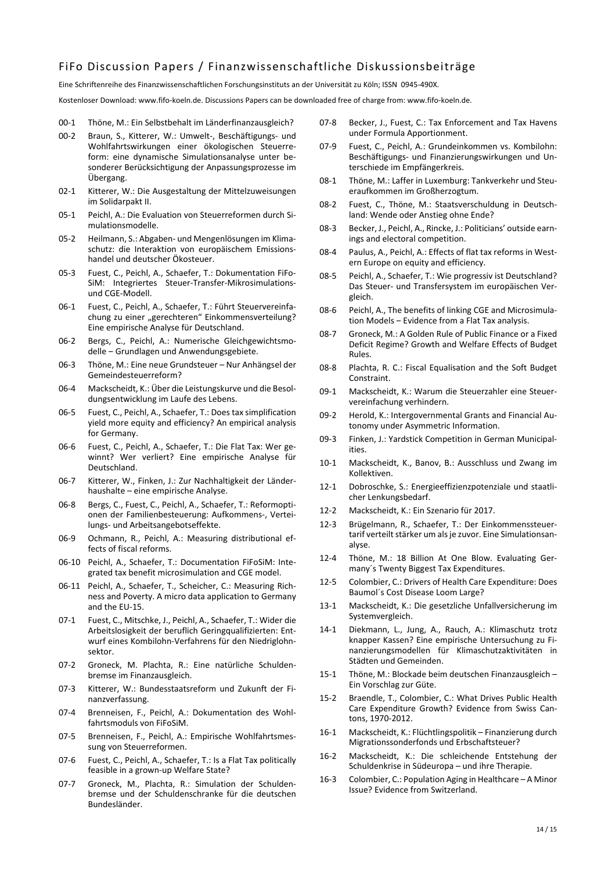## FiFo Discussion Papers / Finanzwissenschaftliche Diskussionsbeiträge

Eine Schriftenreihe des Finanzwissenschaftlichen Forschungsinstituts an der Universität zu Köln; ISSN 0945‐490X.

Kostenloser Download: www.fifo‐koeln.de. Discussions Papers can be downloaded free of charge from: www.fifo‐koeln.de.

- 00‐1 Thöne, M.: Ein Selbstbehalt im Länderfinanzausgleich?
- 00‐2 Braun, S., Kitterer, W.: Umwelt‐, Beschäftigungs‐ und Wohlfahrtswirkungen einer ökologischen Steuerre‐ form: eine dynamische Simulationsanalyse unter be‐ sonderer Berücksichtigung der Anpassungsprozesse im Übergang.
- 02‐1 Kitterer, W.: Die Ausgestaltung der Mittelzuweisungen im Solidarpakt II.
- 05-1 Peichl, A.: Die Evaluation von Steuerreformen durch Simulationsmodelle.
- 05‐2 Heilmann, S.: Abgaben‐ und Mengenlösungen im Klima‐ schutz: die Interaktion von europäischem Emissions‐ handel und deutscher Ökosteuer.
- 05-3 Fuest, C., Peichl, A., Schaefer, T.: Dokumentation FiFo-SiM: Integriertes Steuer‐Transfer‐Mikrosimulations‐ und CGE‐Modell.
- 06-1 Fuest, C., Peichl, A., Schaefer, T.: Führt Steuervereinfachung zu einer "gerechteren" Einkommensverteilung? Eine empirische Analyse für Deutschland.
- 06-2 Bergs, C., Peichl, A.: Numerische Gleichgewichtsmodelle ‒ Grundlagen und Anwendungsgebiete.
- 06‐3 Thöne, M.: Eine neue Grundsteuer Nur Anhängsel der Gemeindesteuerreform?
- 06‐4 Mackscheidt, K.: Über die Leistungskurve und die Besol‐ dungsentwicklung im Laufe des Lebens.
- 06‐5 Fuest, C., Peichl, A., Schaefer, T.: Does tax simplification yield more equity and efficiency? An empirical analysis for Germany.
- 06‐6 Fuest, C., Peichl, A., Schaefer, T.: Die Flat Tax: Wer ge‐ winnt? Wer verliert? Eine empirische Analyse für Deutschland.
- 06‐7 Kitterer, W., Finken, J.: Zur Nachhaltigkeit der Länder‐ haushalte – eine empirische Analyse.
- 06‐8 Bergs, C., Fuest, C., Peichl, A., Schaefer, T.: Reformopti‐ onen der Familienbesteuerung: Aufkommens‐, Vertei‐ lungs‐ und Arbeitsangebotseffekte.
- 06-9 Ochmann, R., Peichl, A.: Measuring distributional effects of fiscal reforms.
- 06-10 Peichl, A., Schaefer, T.: Documentation FiFoSiM: Integrated tax benefit microsimulation and CGE model.
- 06-11 Peichl, A., Schaefer, T., Scheicher, C.: Measuring Richness and Poverty. A micro data application to Germany and the EU‐15.
- 07‐1 Fuest, C., Mitschke, J., Peichl, A., Schaefer, T.: Wider die Arbeitslosigkeit der beruflich Geringqualifizierten: Ent‐ wurf eines Kombilohn‐Verfahrens für den Niedriglohn‐ sektor.
- 07‐2 Groneck, M. Plachta, R.: Eine natürliche Schulden‐ bremse im Finanzausgleich.
- 07‐3 Kitterer, W.: Bundesstaatsreform und Zukunft der Fi‐ nanzverfassung.
- 07-4 Brenneisen, F., Peichl, A.: Dokumentation des Wohlfahrtsmoduls von FiFoSiM.
- 07-5 Brenneisen, F., Peichl, A.: Empirische Wohlfahrtsmessung von Steuerreformen.
- 07-6 Fuest, C., Peichl, A., Schaefer, T.: Is a Flat Tax politically feasible in a grown‐up Welfare State?
- 07-7 Groneck, M., Plachta, R.: Simulation der Schuldenbremse und der Schuldenschranke für die deutschen Bundesländer.
- 07‐8 Becker, J., Fuest, C.: Tax Enforcement and Tax Havens under Formula Apportionment.
- 07‐9 Fuest, C., Peichl, A.: Grundeinkommen vs. Kombilohn: Beschäftigungs‐ und Finanzierungswirkungen und Un‐ terschiede im Empfängerkreis.
- 08‐1 Thöne, M.: Laffer in Luxemburg: Tankverkehr und Steu‐ eraufkommen im Großherzogtum.
- 08-2 Fuest, C., Thöne, M.: Staatsverschuldung in Deutschland: Wende oder Anstieg ohne Ende?
- 08-3 Becker, J., Peichl, A., Rincke, J.: Politicians' outside earnings and electoral competition.
- 08-4 Paulus, A., Peichl, A.: Effects of flat tax reforms in Western Europe on equity and efficiency.
- 08‐5 Peichl, A., Schaefer, T.: Wie progressiv ist Deutschland? Das Steuer‐ und Transfersystem im europäischen Ver‐ gleich.
- 08-6 Peichl, A., The benefits of linking CGE and Microsimulation Models - Evidence from a Flat Tax analysis.
- 08-7 Groneck, M.: A Golden Rule of Public Finance or a Fixed Deficit Regime? Growth and Welfare Effects of Budget Rules.
- 08‐8 Plachta, R. C.: Fiscal Equalisation and the Soft Budget Constraint.
- 09‐1 Mackscheidt, K.: Warum die Steuerzahler eine Steuer‐ vereinfachung verhindern.
- 09‐2 Herold, K.: Intergovernmental Grants and Financial Au‐ tonomy under Asymmetric Information.
- 09‐3 Finken, J.: Yardstick Competition in German Municipal‐ ities.
- 10‐1 Mackscheidt, K., Banov, B.: Ausschluss und Zwang im Kollektiven.
- 12-1 Dobroschke, S.: Energieeffizienzpotenziale und staatlicher Lenkungsbedarf.
- 12‐2 Mackscheidt, K.: Ein Szenario für 2017.
- 12‐3 Brügelmann, R., Schaefer, T.: Der Einkommenssteuer‐ tarif verteilt stärker um als je zuvor. Eine Simulationsan‐ alyse.
- 12-4 Thöne, M.: 18 Billion At One Blow. Evaluating Germany´s Twenty Biggest Tax Expenditures.
- 12‐5 Colombier, C.: Drivers of Health Care Expenditure: Does Baumol´s Cost Disease Loom Large?
- 13‐1 Mackscheidt, K.: Die gesetzliche Unfallversicherung im Systemvergleich.
- 14‐1 Diekmann, L., Jung, A., Rauch, A.: Klimaschutz trotz knapper Kassen? Eine empirische Untersuchung zu Fi‐ nanzierungsmodellen für Klimaschutzaktivitäten in Städten und Gemeinden.
- 15‐1 Thöne, M.: Blockade beim deutschen Finanzausgleich Ein Vorschlag zur Güte.
- 15‐2 Braendle, T., Colombier, C.: What Drives Public Health Care Expenditure Growth? Evidence from Swiss Can‐ tons, 1970‐2012.
- 16‐1 Mackscheidt, K.: Flüchtlingspolitik Finanzierung durch Migrationssonderfonds und Erbschaftsteuer?
- 16‐2 Mackscheidt, K.: Die schleichende Entstehung der Schuldenkrise in Südeuropa – und ihre Therapie.
- 16‐3 Colombier, C.: Population Aging in Healthcare A Minor Issue? Evidence from Switzerland.